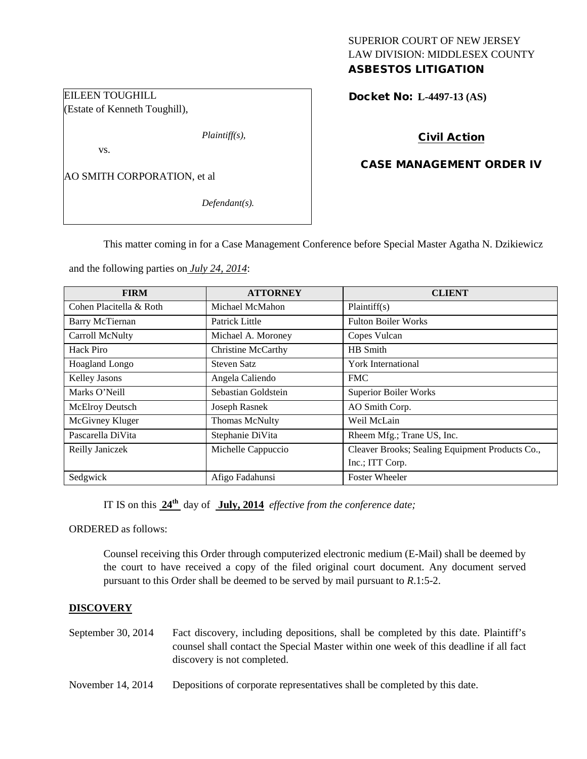# SUPERIOR COURT OF NEW JERSEY LAW DIVISION: MIDDLESEX COUNTY

# ASBESTOS LITIGATION

Docket No: **L-4497-13 (AS)** 

# Civil Action

## CASE MANAGEMENT ORDER IV

AO SMITH CORPORATION, et al

EILEEN TOUGHILL

vs.

(Estate of Kenneth Toughill),

*Defendant(s).*

*Plaintiff(s),*

This matter coming in for a Case Management Conference before Special Master Agatha N. Dzikiewicz

and the following parties on *July 24, 2014*:

| <b>FIRM</b>             | <b>ATTORNEY</b>           | <b>CLIENT</b>                                   |
|-------------------------|---------------------------|-------------------------------------------------|
| Cohen Placitella & Roth | Michael McMahon           | Plaintiff(s)                                    |
| <b>Barry McTiernan</b>  | Patrick Little            | <b>Fulton Boiler Works</b>                      |
| Carroll McNulty         | Michael A. Moroney        | Copes Vulcan                                    |
| Hack Piro               | <b>Christine McCarthy</b> | HB Smith                                        |
| Hoagland Longo          | <b>Steven Satz</b>        | York International                              |
| Kelley Jasons           | Angela Caliendo           | <b>FMC</b>                                      |
| Marks O'Neill           | Sebastian Goldstein       | <b>Superior Boiler Works</b>                    |
| McElroy Deutsch         | Joseph Rasnek             | AO Smith Corp.                                  |
| McGivney Kluger         | <b>Thomas McNulty</b>     | Weil McLain                                     |
| Pascarella DiVita       | Stephanie DiVita          | Rheem Mfg.; Trane US, Inc.                      |
| Reilly Janiczek         | Michelle Cappuccio        | Cleaver Brooks; Sealing Equipment Products Co., |
|                         |                           | Inc.; ITT Corp.                                 |
| Sedgwick                | Afigo Fadahunsi           | <b>Foster Wheeler</b>                           |

IT IS on this **24th** day of **July, 2014** *effective from the conference date;*

ORDERED as follows:

Counsel receiving this Order through computerized electronic medium (E-Mail) shall be deemed by the court to have received a copy of the filed original court document. Any document served pursuant to this Order shall be deemed to be served by mail pursuant to *R*.1:5-2.

## **DISCOVERY**

| September 30, $2014$ | Fact discovery, including depositions, shall be completed by this date. Plaintiff's   |
|----------------------|---------------------------------------------------------------------------------------|
|                      | counsel shall contact the Special Master within one week of this deadline if all fact |
|                      | discovery is not completed.                                                           |

November 14, 2014 Depositions of corporate representatives shall be completed by this date.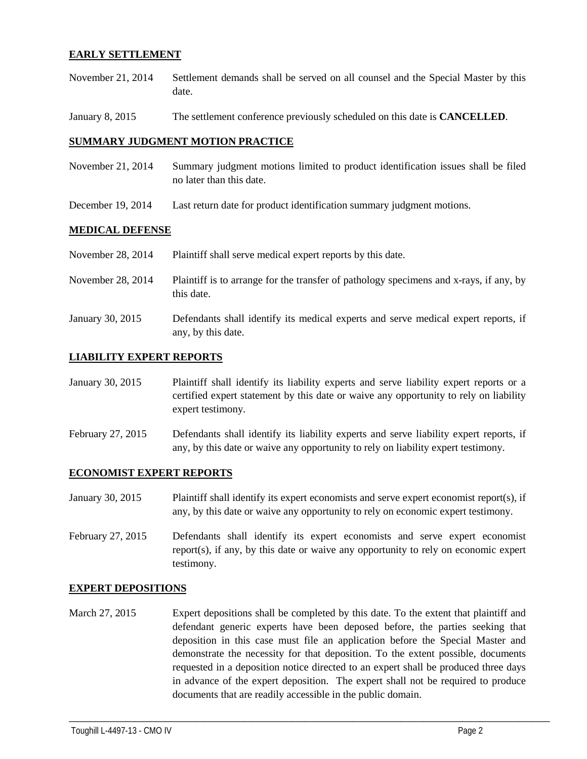#### **EARLY SETTLEMENT**

- November 21, 2014 Settlement demands shall be served on all counsel and the Special Master by this date.
- January 8, 2015 The settlement conference previously scheduled on this date is **CANCELLED**.

#### **SUMMARY JUDGMENT MOTION PRACTICE**

- November 21, 2014 Summary judgment motions limited to product identification issues shall be filed no later than this date.
- December 19, 2014 Last return date for product identification summary judgment motions.

#### **MEDICAL DEFENSE**

| November 28, 2014 | Plaintiff shall serve medical expert reports by this date.                                               |
|-------------------|----------------------------------------------------------------------------------------------------------|
| November 28, 2014 | Plaintiff is to arrange for the transfer of pathology specimens and x-rays, if any, by<br>this date.     |
| January 30, 2015  | Defendants shall identify its medical experts and serve medical expert reports, if<br>any, by this date. |

#### **LIABILITY EXPERT REPORTS**

- January 30, 2015 Plaintiff shall identify its liability experts and serve liability expert reports or a certified expert statement by this date or waive any opportunity to rely on liability expert testimony.
- February 27, 2015 Defendants shall identify its liability experts and serve liability expert reports, if any, by this date or waive any opportunity to rely on liability expert testimony.

#### **ECONOMIST EXPERT REPORTS**

- January 30, 2015 Plaintiff shall identify its expert economists and serve expert economist report(s), if any, by this date or waive any opportunity to rely on economic expert testimony.
- February 27, 2015 Defendants shall identify its expert economists and serve expert economist report(s), if any, by this date or waive any opportunity to rely on economic expert testimony.

#### **EXPERT DEPOSITIONS**

March 27, 2015 Expert depositions shall be completed by this date. To the extent that plaintiff and defendant generic experts have been deposed before, the parties seeking that deposition in this case must file an application before the Special Master and demonstrate the necessity for that deposition. To the extent possible, documents requested in a deposition notice directed to an expert shall be produced three days in advance of the expert deposition. The expert shall not be required to produce documents that are readily accessible in the public domain.

\_\_\_\_\_\_\_\_\_\_\_\_\_\_\_\_\_\_\_\_\_\_\_\_\_\_\_\_\_\_\_\_\_\_\_\_\_\_\_\_\_\_\_\_\_\_\_\_\_\_\_\_\_\_\_\_\_\_\_\_\_\_\_\_\_\_\_\_\_\_\_\_\_\_\_\_\_\_\_\_\_\_\_\_\_\_\_\_\_\_\_\_\_\_\_\_\_\_\_\_\_\_\_\_\_\_\_\_\_\_